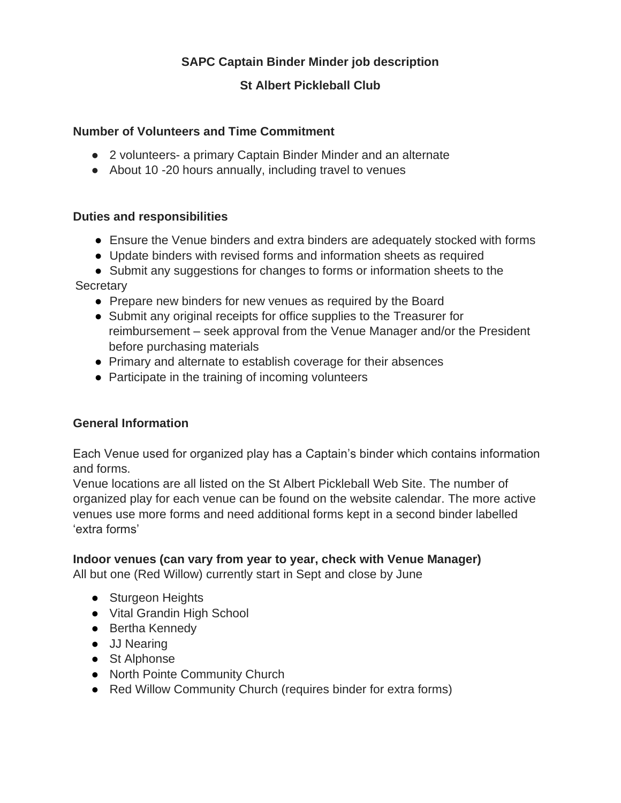# **SAPC Captain Binder Minder job description**

## **St Albert Pickleball Club**

### **Number of Volunteers and Time Commitment**

- 2 volunteers- a primary Captain Binder Minder and an alternate
- About 10 -20 hours annually, including travel to venues

#### **Duties and responsibilities**

- Ensure the Venue binders and extra binders are adequately stocked with forms
- Update binders with revised forms and information sheets as required
- Submit any suggestions for changes to forms or information sheets to the

**Secretary** 

- Prepare new binders for new venues as required by the Board
- Submit any original receipts for office supplies to the Treasurer for reimbursement – seek approval from the Venue Manager and/or the President before purchasing materials
- Primary and alternate to establish coverage for their absences
- Participate in the training of incoming volunteers

#### **General Information**

Each Venue used for organized play has a Captain's binder which contains information and forms.

Venue locations are all listed on the St Albert Pickleball Web Site. The number of organized play for each venue can be found on the website calendar. The more active venues use more forms and need additional forms kept in a second binder labelled 'extra forms'

## **Indoor venues (can vary from year to year, check with Venue Manager)**

All but one (Red Willow) currently start in Sept and close by June

- Sturgeon Heights
- Vital Grandin High School
- Bertha Kennedy
- JJ Nearing
- St Alphonse
- North Pointe Community Church
- Red Willow Community Church (requires binder for extra forms)